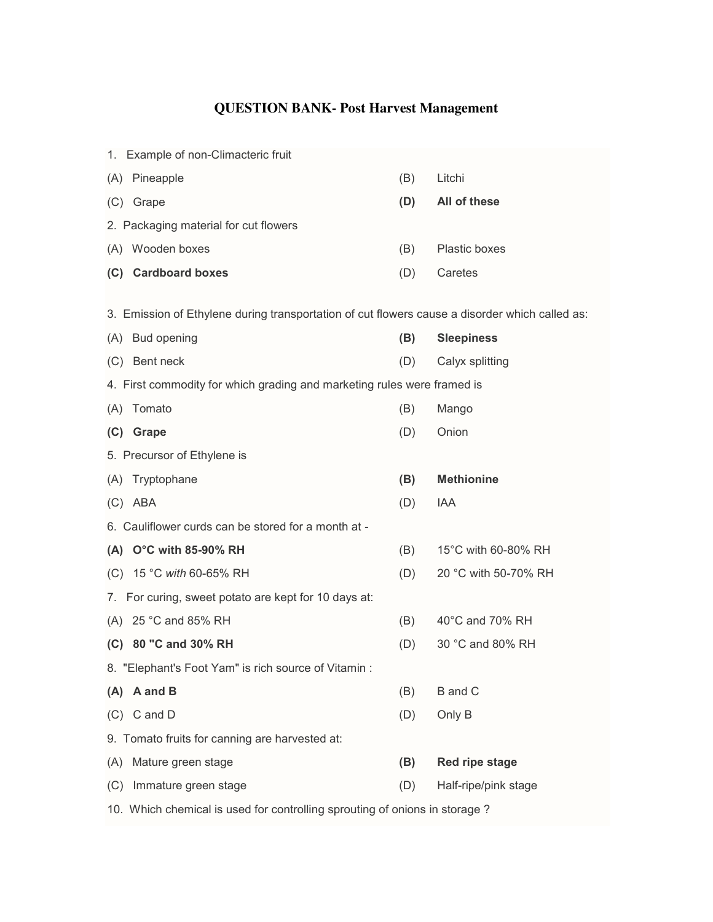## **QUESTION BANK- Post Harvest Management**

| 1. Example of non-Climacteric fruit                                                            |                                 |     |                      |  |  |  |  |
|------------------------------------------------------------------------------------------------|---------------------------------|-----|----------------------|--|--|--|--|
|                                                                                                | (A) Pineapple                   | (B) | Litchi               |  |  |  |  |
|                                                                                                | (C) Grape                       | (D) | All of these         |  |  |  |  |
| 2. Packaging material for cut flowers                                                          |                                 |     |                      |  |  |  |  |
|                                                                                                | (A) Wooden boxes                | (B) | Plastic boxes        |  |  |  |  |
|                                                                                                | (C) Cardboard boxes             | (D) | Caretes              |  |  |  |  |
| 3. Emission of Ethylene during transportation of cut flowers cause a disorder which called as: |                                 |     |                      |  |  |  |  |
|                                                                                                | (A) Bud opening                 | (B) | <b>Sleepiness</b>    |  |  |  |  |
|                                                                                                | (C) Bent neck                   | (D) | Calyx splitting      |  |  |  |  |
| 4. First commodity for which grading and marketing rules were framed is                        |                                 |     |                      |  |  |  |  |
| (A)                                                                                            | Tomato                          | (B) | Mango                |  |  |  |  |
|                                                                                                | (C) Grape                       | (D) | Onion                |  |  |  |  |
| 5. Precursor of Ethylene is                                                                    |                                 |     |                      |  |  |  |  |
|                                                                                                | (A) Tryptophane                 | (B) | <b>Methionine</b>    |  |  |  |  |
|                                                                                                | $(C)$ ABA                       | (D) | IAA                  |  |  |  |  |
| 6. Cauliflower curds can be stored for a month at -                                            |                                 |     |                      |  |  |  |  |
|                                                                                                | (A) $O^{\circ}C$ with 85-90% RH | (B) | 15°C with 60-80% RH  |  |  |  |  |
|                                                                                                | (C) 15 °C with 60-65% RH        | (D) | 20 °C with 50-70% RH |  |  |  |  |
| 7. For curing, sweet potato are kept for 10 days at:                                           |                                 |     |                      |  |  |  |  |
|                                                                                                | (A) 25 °C and 85% RH            | (B) | 40°C and 70% RH      |  |  |  |  |
|                                                                                                | (C) 80 "C and 30% RH            | (D) | 30 °C and 80% RH     |  |  |  |  |
| 8. "Elephant's Foot Yam" is rich source of Vitamin :                                           |                                 |     |                      |  |  |  |  |
| (A)                                                                                            | A and B                         | (B) | <b>B</b> and C       |  |  |  |  |
| (C)                                                                                            | C and D                         | (D) | Only B               |  |  |  |  |
| 9. Tomato fruits for canning are harvested at:                                                 |                                 |     |                      |  |  |  |  |
| (A)                                                                                            | Mature green stage              | (B) | Red ripe stage       |  |  |  |  |
| (C)                                                                                            | Immature green stage            | (D) | Half-ripe/pink stage |  |  |  |  |
|                                                                                                |                                 |     |                      |  |  |  |  |

10. Which chemical is used for controlling sprouting of onions in storage ?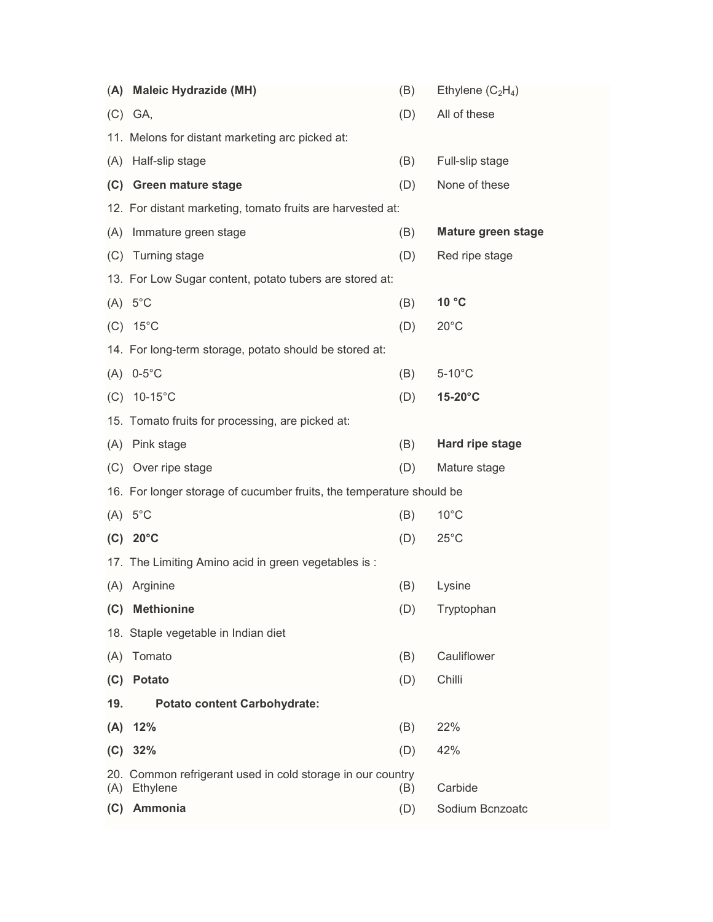| (A) | <b>Maleic Hydrazide (MH)</b>                                                                 | (B) | Ethylene $(C_2H_4)$       |  |  |  |
|-----|----------------------------------------------------------------------------------------------|-----|---------------------------|--|--|--|
|     | $(C)$ GA,                                                                                    | (D) | All of these              |  |  |  |
|     | 11. Melons for distant marketing arc picked at:                                              |     |                           |  |  |  |
| (A) | Half-slip stage                                                                              | (B) | Full-slip stage           |  |  |  |
| (C) | <b>Green mature stage</b>                                                                    | (D) | None of these             |  |  |  |
|     | 12. For distant marketing, tomato fruits are harvested at:                                   |     |                           |  |  |  |
|     | (A) Immature green stage                                                                     | (B) | <b>Mature green stage</b> |  |  |  |
|     | (C) Turning stage                                                                            | (D) | Red ripe stage            |  |  |  |
|     | 13. For Low Sugar content, potato tubers are stored at:                                      |     |                           |  |  |  |
|     | $(A) 5^{\circ}C$                                                                             | (B) | 10 °C                     |  |  |  |
|     | $(C) 15^{\circ}C$                                                                            | (D) | $20^{\circ}$ C            |  |  |  |
|     | 14. For long-term storage, potato should be stored at:                                       |     |                           |  |  |  |
|     | $(A)$ 0-5°C                                                                                  | (B) | $5-10^{\circ}$ C          |  |  |  |
| (C) | $10-15^{\circ}$ C                                                                            | (D) | 15-20°C                   |  |  |  |
|     | 15. Tomato fruits for processing, are picked at:                                             |     |                           |  |  |  |
|     | (A) Pink stage                                                                               | (B) | Hard ripe stage           |  |  |  |
|     | (C) Over ripe stage                                                                          | (D) | Mature stage              |  |  |  |
|     | 16. For longer storage of cucumber fruits, the temperature should be                         |     |                           |  |  |  |
|     | $(A) 5^{\circ}C$                                                                             | (B) | $10^{\circ}$ C            |  |  |  |
|     | $(C)$ 20°C                                                                                   | (D) | $25^{\circ}$ C            |  |  |  |
|     | 17. The Limiting Amino acid in green vegetables is:                                          |     |                           |  |  |  |
| (A) | Arginine                                                                                     | (B) | Lysine                    |  |  |  |
| (C) | <b>Methionine</b>                                                                            | (D) | Tryptophan                |  |  |  |
|     | 18. Staple vegetable in Indian diet                                                          |     |                           |  |  |  |
| (A) | Tomato                                                                                       | (B) | Cauliflower               |  |  |  |
| (C) | <b>Potato</b>                                                                                | (D) | Chilli                    |  |  |  |
| 19. | <b>Potato content Carbohydrate:</b>                                                          |     |                           |  |  |  |
| (A) | 12%                                                                                          | (B) | 22%                       |  |  |  |
|     | $(C)$ 32%                                                                                    | (D) | 42%                       |  |  |  |
|     | 20. Common refrigerant used in cold storage in our country<br>Carbide<br>(A) Ethylene<br>(B) |     |                           |  |  |  |
| (C) | Ammonia                                                                                      | (D) | Sodium Bcnzoatc           |  |  |  |